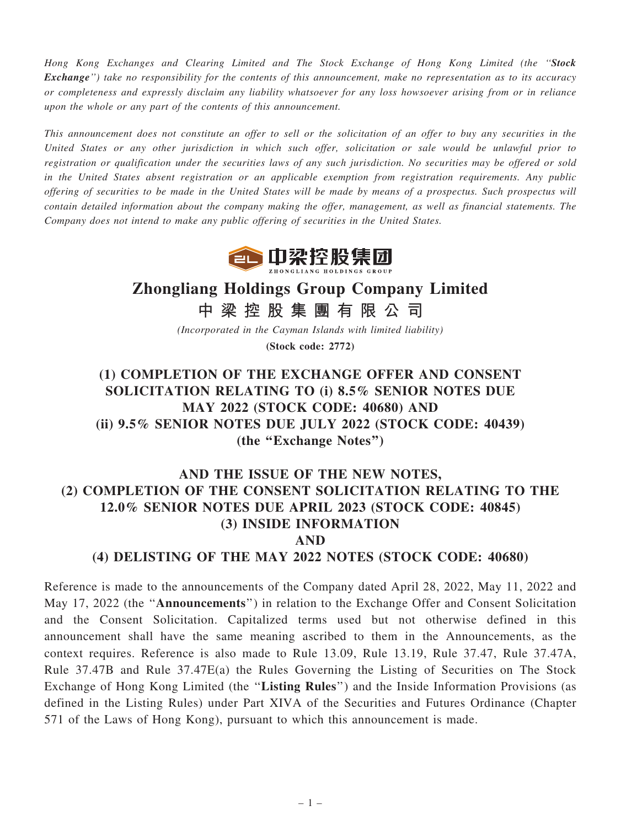Hong Kong Exchanges and Clearing Limited and The Stock Exchange of Hong Kong Limited (the ''Stock Exchange'') take no responsibility for the contents of this announcement, make no representation as to its accuracy or completeness and expressly disclaim any liability whatsoever for any loss howsoever arising from or in reliance upon the whole or any part of the contents of this announcement.

This announcement does not constitute an offer to sell or the solicitation of an offer to buy any securities in the United States or any other jurisdiction in which such offer, solicitation or sale would be unlawful prior to registration or qualification under the securities laws of any such jurisdiction. No securities may be offered or sold in the United States absent registration or an applicable exemption from registration requirements. Any public offering of securities to be made in the United States will be made by means of a prospectus. Such prospectus will contain detailed information about the company making the offer, management, as well as financial statements. The Company does not intend to make any public offering of securities in the United States.



# Zhongliang Holdings Group Company Limited

中 梁 控 股 集 團 有 限 公 司

(Incorporated in the Cayman Islands with limited liability) (Stock code: 2772)

(1) COMPLETION OF THE EXCHANGE OFFER AND CONSENT SOLICITATION RELATING TO (i) 8.5% SENIOR NOTES DUE MAY 2022 (STOCK CODE: 40680) AND (ii) 9.5% SENIOR NOTES DUE JULY 2022 (STOCK CODE: 40439) (the ''Exchange Notes'')

## AND THE ISSUE OF THE NEW NOTES, (2) COMPLETION OF THE CONSENT SOLICITATION RELATING TO THE 12.0% SENIOR NOTES DUE APRIL 2023 (STOCK CODE: 40845) (3) INSIDE INFORMATION AND

#### (4) DELISTING OF THE MAY 2022 NOTES (STOCK CODE: 40680)

Reference is made to the announcements of the Company dated April 28, 2022, May 11, 2022 and May 17, 2022 (the ''Announcements'') in relation to the Exchange Offer and Consent Solicitation and the Consent Solicitation. Capitalized terms used but not otherwise defined in this announcement shall have the same meaning ascribed to them in the Announcements, as the context requires. Reference is also made to Rule 13.09, Rule 13.19, Rule 37.47, Rule 37.47A, Rule 37.47B and Rule 37.47E(a) the Rules Governing the Listing of Securities on The Stock Exchange of Hong Kong Limited (the "Listing Rules") and the Inside Information Provisions (as defined in the Listing Rules) under Part XIVA of the Securities and Futures Ordinance (Chapter 571 of the Laws of Hong Kong), pursuant to which this announcement is made.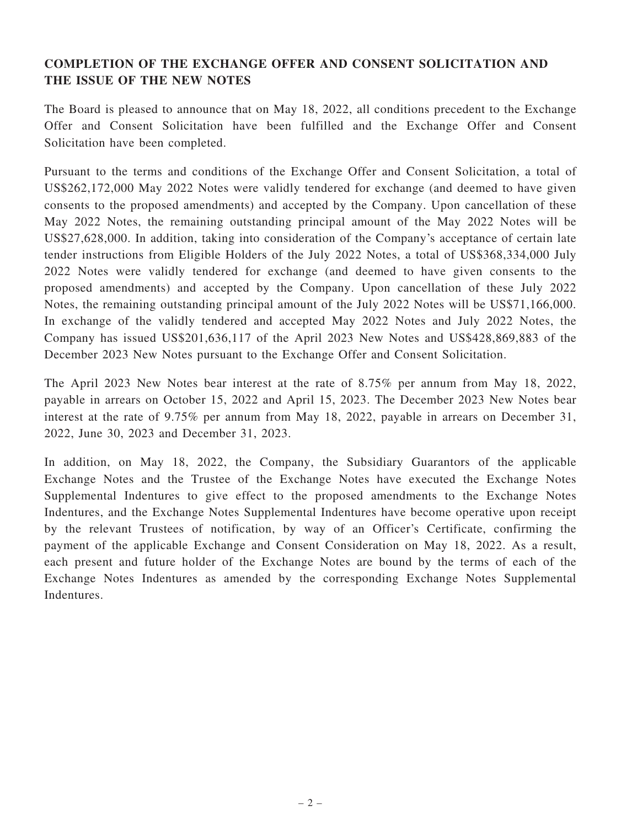### COMPLETION OF THE EXCHANGE OFFER AND CONSENT SOLICITATION AND THE ISSUE OF THE NEW NOTES

The Board is pleased to announce that on May 18, 2022, all conditions precedent to the Exchange Offer and Consent Solicitation have been fulfilled and the Exchange Offer and Consent Solicitation have been completed.

Pursuant to the terms and conditions of the Exchange Offer and Consent Solicitation, a total of US\$262,172,000 May 2022 Notes were validly tendered for exchange (and deemed to have given consents to the proposed amendments) and accepted by the Company. Upon cancellation of these May 2022 Notes, the remaining outstanding principal amount of the May 2022 Notes will be US\$27,628,000. In addition, taking into consideration of the Company's acceptance of certain late tender instructions from Eligible Holders of the July 2022 Notes, a total of US\$368,334,000 July 2022 Notes were validly tendered for exchange (and deemed to have given consents to the proposed amendments) and accepted by the Company. Upon cancellation of these July 2022 Notes, the remaining outstanding principal amount of the July 2022 Notes will be US\$71,166,000. In exchange of the validly tendered and accepted May 2022 Notes and July 2022 Notes, the Company has issued US\$201,636,117 of the April 2023 New Notes and US\$428,869,883 of the December 2023 New Notes pursuant to the Exchange Offer and Consent Solicitation.

The April 2023 New Notes bear interest at the rate of 8.75% per annum from May 18, 2022, payable in arrears on October 15, 2022 and April 15, 2023. The December 2023 New Notes bear interest at the rate of 9.75% per annum from May 18, 2022, payable in arrears on December 31, 2022, June 30, 2023 and December 31, 2023.

In addition, on May 18, 2022, the Company, the Subsidiary Guarantors of the applicable Exchange Notes and the Trustee of the Exchange Notes have executed the Exchange Notes Supplemental Indentures to give effect to the proposed amendments to the Exchange Notes Indentures, and the Exchange Notes Supplemental Indentures have become operative upon receipt by the relevant Trustees of notification, by way of an Officer's Certificate, confirming the payment of the applicable Exchange and Consent Consideration on May 18, 2022. As a result, each present and future holder of the Exchange Notes are bound by the terms of each of the Exchange Notes Indentures as amended by the corresponding Exchange Notes Supplemental Indentures.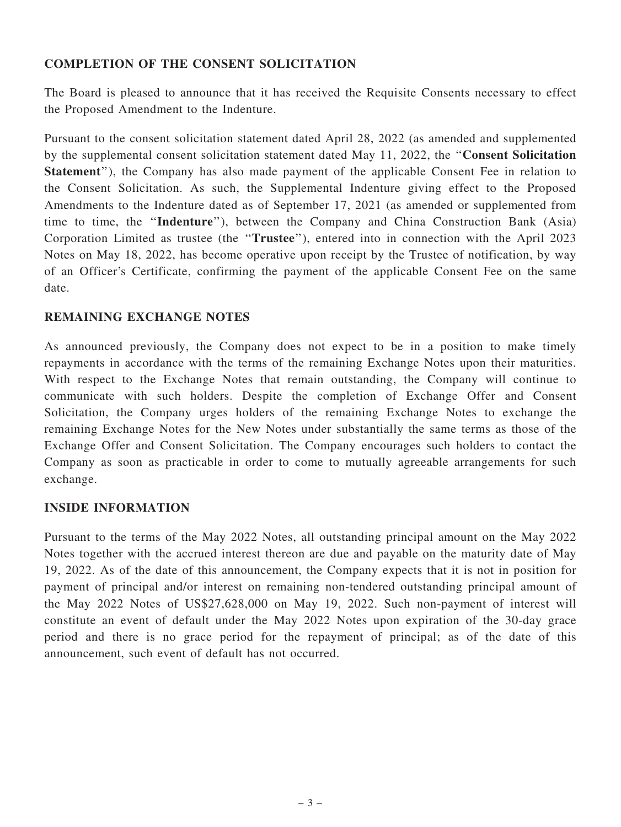#### COMPLETION OF THE CONSENT SOLICITATION

The Board is pleased to announce that it has received the Requisite Consents necessary to effect the Proposed Amendment to the Indenture.

Pursuant to the consent solicitation statement dated April 28, 2022 (as amended and supplemented by the supplemental consent solicitation statement dated May 11, 2022, the ''Consent Solicitation Statement''), the Company has also made payment of the applicable Consent Fee in relation to the Consent Solicitation. As such, the Supplemental Indenture giving effect to the Proposed Amendments to the Indenture dated as of September 17, 2021 (as amended or supplemented from time to time, the ''Indenture''), between the Company and China Construction Bank (Asia) Corporation Limited as trustee (the ''Trustee''), entered into in connection with the April 2023 Notes on May 18, 2022, has become operative upon receipt by the Trustee of notification, by way of an Officer's Certificate, confirming the payment of the applicable Consent Fee on the same date.

### REMAINING EXCHANGE NOTES

As announced previously, the Company does not expect to be in a position to make timely repayments in accordance with the terms of the remaining Exchange Notes upon their maturities. With respect to the Exchange Notes that remain outstanding, the Company will continue to communicate with such holders. Despite the completion of Exchange Offer and Consent Solicitation, the Company urges holders of the remaining Exchange Notes to exchange the remaining Exchange Notes for the New Notes under substantially the same terms as those of the Exchange Offer and Consent Solicitation. The Company encourages such holders to contact the Company as soon as practicable in order to come to mutually agreeable arrangements for such exchange.

#### INSIDE INFORMATION

Pursuant to the terms of the May 2022 Notes, all outstanding principal amount on the May 2022 Notes together with the accrued interest thereon are due and payable on the maturity date of May 19, 2022. As of the date of this announcement, the Company expects that it is not in position for payment of principal and/or interest on remaining non-tendered outstanding principal amount of the May 2022 Notes of US\$27,628,000 on May 19, 2022. Such non-payment of interest will constitute an event of default under the May 2022 Notes upon expiration of the 30-day grace period and there is no grace period for the repayment of principal; as of the date of this announcement, such event of default has not occurred.